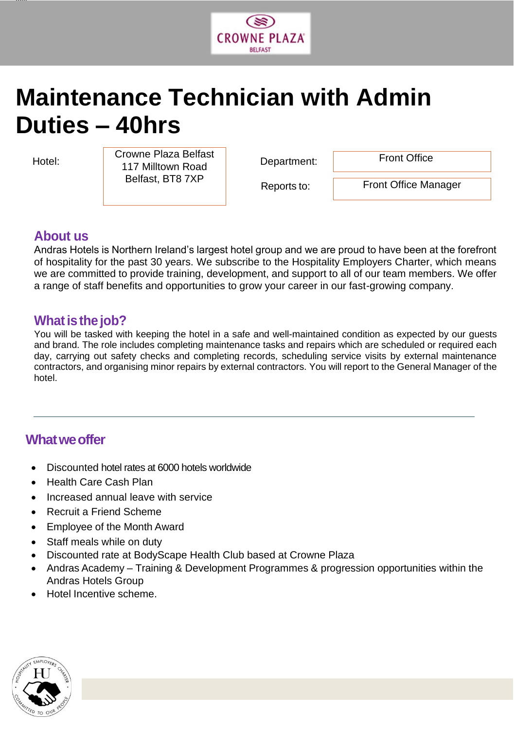

# **Maintenance Technician with Admin Duties – 40hrs**

jjjjjj

Hotel: **Department:**  $\frac{1}{447}$  Milltonia Board **Department:** Crowne Plaza Belfast | Department: Front Office 117 Milltown Road Belfast, BT8 7XP

Reports to:

Front Office Manager

#### **About us**

Andras Hotels is Northern Ireland's largest hotel group and we are proud to have been at the forefront of hospitality for the past 30 years. We subscribe to the Hospitality Employers Charter, which means we are committed to provide training, development, and support to all of our team members. We offer a range of staff benefits and opportunities to grow your career in our fast-growing company.

### **Whatisthe job?**

You will be tasked with keeping the hotel in a safe and well-maintained condition as expected by our guests and brand. The role includes completing maintenance tasks and repairs which are scheduled or required each day, carrying out safety checks and completing records, scheduling service visits by external maintenance contractors, and organising minor repairs by external contractors. You will report to the General Manager of the hotel.

## **Whatweoffer**

- Discounted hotel rates at 6000 hotels worldwide
- Health Care Cash Plan
- Increased annual leave with service
- Recruit a Friend Scheme
- Employee of the Month Award
- Staff meals while on duty
- Discounted rate at BodyScape Health Club based at Crowne Plaza
- Andras Academy Training & Development Programmes & progression opportunities within the Andras Hotels Group
- Hotel Incentive scheme.

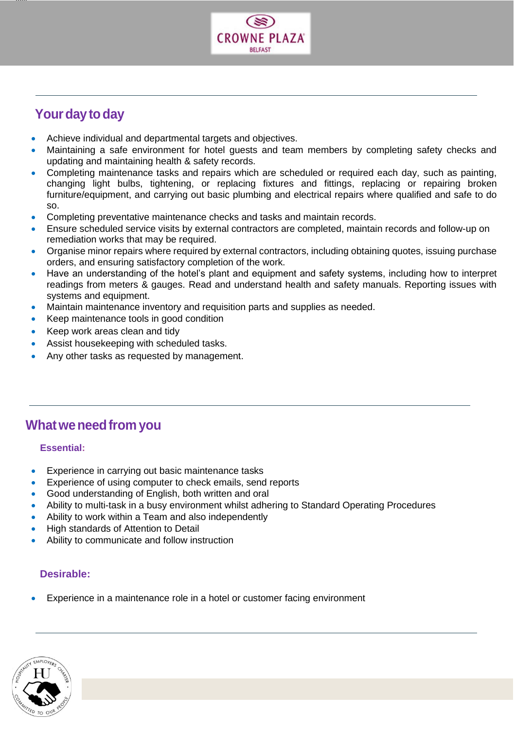

# **Your day to day**

jjjjjj

- Achieve individual and departmental targets and objectives.
- Maintaining a safe environment for hotel guests and team members by completing safety checks and updating and maintaining health & safety records.
- Completing maintenance tasks and repairs which are scheduled or required each day, such as painting, changing light bulbs, tightening, or replacing fixtures and fittings, replacing or repairing broken furniture/equipment, and carrying out basic plumbing and electrical repairs where qualified and safe to do so.
- Completing preventative maintenance checks and tasks and maintain records.
- Ensure scheduled service visits by external contractors are completed, maintain records and follow-up on remediation works that may be required.
- Organise minor repairs where required by external contractors, including obtaining quotes, issuing purchase orders, and ensuring satisfactory completion of the work.
- Have an understanding of the hotel's plant and equipment and safety systems, including how to interpret readings from meters & gauges. Read and understand health and safety manuals. Reporting issues with systems and equipment.
- Maintain maintenance inventory and requisition parts and supplies as needed.
- Keep maintenance tools in good condition
- Keep work areas clean and tidy
- Assist housekeeping with scheduled tasks.
- Any other tasks as requested by management.

## **Whatweneedfrom you**

#### **Essential:**

- Experience in carrying out basic maintenance tasks
- Experience of using computer to check emails, send reports
- Good understanding of English, both written and oral
- Ability to multi-task in a busy environment whilst adhering to Standard Operating Procedures
- Ability to work within a Team and also independently
- High standards of Attention to Detail
- Ability to communicate and follow instruction

#### **Desirable:**

Experience in a maintenance role in a hotel or customer facing environment